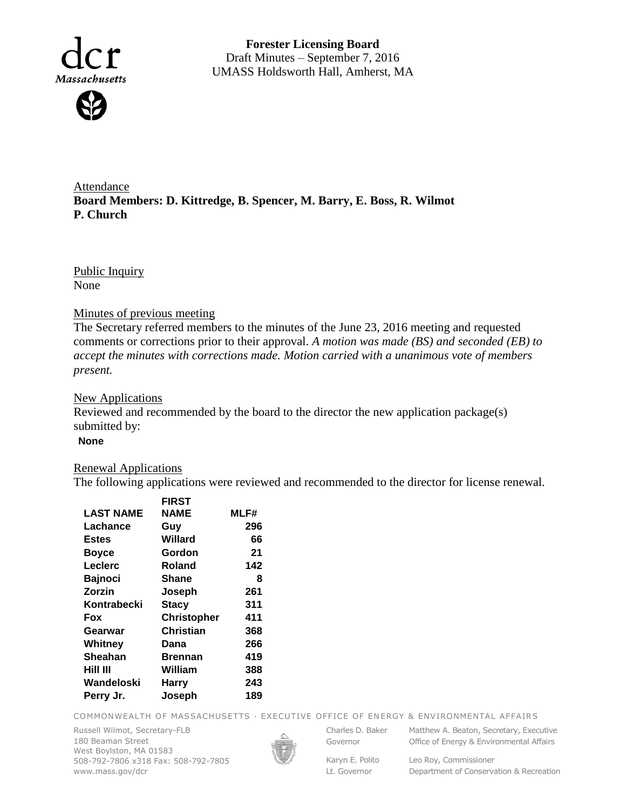

**Forester Licensing Board**  Draft Minutes – September 7, 2016 UMASS Holdsworth Hall, Amherst, MA

Attendance **Board Members: D. Kittredge, B. Spencer, M. Barry, E. Boss, R. Wilmot P. Church**

Public Inquiry None

## Minutes of previous meeting

The Secretary referred members to the minutes of the June 23, 2016 meeting and requested comments or corrections prior to their approval. *A motion was made (BS) and seconded (EB) to accept the minutes with corrections made. Motion carried with a unanimous vote of members present.*

## **New Applications**

Reviewed and recommended by the board to the director the new application package(s) submitted by:

**None**

## Renewal Applications

The following applications were reviewed and recommended to the director for license renewal.

|                  | <b>FIRST</b>       |      |
|------------------|--------------------|------|
| <b>LAST NAME</b> | <b>NAME</b>        | MLF# |
| Lachance         | Guy                | 296  |
| <b>Estes</b>     | Willard            | 66   |
| <b>Boyce</b>     | Gordon             | 21   |
| Leclerc          | Roland             | 142  |
| <b>Bajnoci</b>   | <b>Shane</b>       | 8    |
| Zorzin           | Joseph             | 261  |
| Kontrabecki      | <b>Stacy</b>       | 311  |
| Fox              | <b>Christopher</b> | 411  |
| Gearwar          | <b>Christian</b>   | 368  |
| Whitney          | Dana               | 266  |
| <b>Sheahan</b>   | <b>Brennan</b>     | 419  |
| Hill III         | William            | 388  |
| Wandeloski       | <b>Harry</b>       | 243  |
| Perry Jr.        | Joseph             | 189  |
|                  |                    |      |

COMMONWEALTH OF MASSACHUSETTS · EXECUTIVE OFFICE OF ENERGY & ENVIRONMENTAL AFFAIRS

Russell Wilmot, Secretary-FLB 180 Beaman Street West Boylston, MA 01583 508-792-7806 x318 Fax: 508-792-7805 www.mass.gov/dcr



Governor

Charles D. Baker Matthew A. Beaton, Secretary, Executive Office of Energy & Environmental Affairs

Lt. Governor

Karyn E. Polito Leo Roy, Commissioner Department of Conservation & Recreation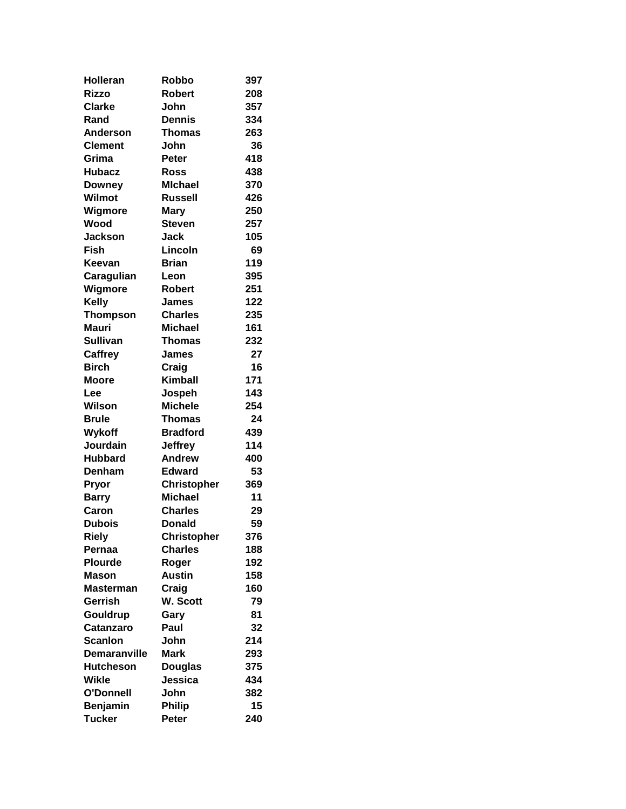| Holleran              | Robbo              | 397       |
|-----------------------|--------------------|-----------|
| <b>Rizzo</b>          | <b>Robert</b>      | 208       |
| <b>Clarke</b>         | John               | 357       |
| Rand                  | <b>Dennis</b>      | 334       |
| <b>Anderson</b>       | <b>Thomas</b>      | 263       |
| <b>Clement</b>        | John               | 36        |
| Grima                 | <b>Peter</b>       | 418       |
| <b>Hubacz</b>         | <b>Ross</b>        | 438       |
| <b>Downey</b>         | <b>MIchael</b>     | 370       |
| Wilmot                | <b>Russell</b>     | 426       |
| Wigmore               | <b>Mary</b>        | 250       |
| Wood                  | <b>Steven</b>      | 257       |
| <b>Jackson</b>        | <b>Jack</b>        | 105       |
| Fish                  | Lincoln            | 69        |
| Keevan                | <b>Brian</b>       | 119       |
| Caragulian            | Leon               | 395       |
| Wigmore               | Robert             | 251       |
| <b>Kelly</b>          | James              | 122       |
| <b>Thompson</b>       | <b>Charles</b>     | 235       |
| Mauri                 | <b>Michael</b>     | 161       |
| <b>Sullivan</b>       | <b>Thomas</b>      | 232       |
| Caffrey               | James              | 27        |
| <b>Birch</b>          | Craig              | 16        |
| <b>Moore</b>          | <b>Kimball</b>     | 171       |
| Lee                   | Jospeh             | 143       |
| Wilson                | <b>Michele</b>     | 254       |
| <b>Brule</b>          | <b>Thomas</b>      | 24        |
| Wykoff                | <b>Bradford</b>    | 439       |
| Jourdain              | <b>Jeffrey</b>     | 114       |
| <b>Hubbard</b>        | <b>Andrew</b>      | 400       |
| Denham                | <b>Edward</b>      | 53        |
| Pryor                 | <b>Christopher</b> | 369       |
| <b>Barry</b>          | <b>Michael</b>     | 11        |
| Caron                 | <b>Charles</b>     | 29        |
| <b>Dubois</b>         | <b>Donald</b>      | 59        |
| <b>Riely</b>          | <b>Christopher</b> | 376       |
| Pernaa                | <b>Charles</b>     | 188       |
| <b>Plourde</b>        | Roger              | 192       |
| <b>Mason</b>          | <b>Austin</b>      | 158       |
| Masterman             | Craig              | 160       |
| Gerrish               | W. Scott           | 79        |
|                       |                    | 81        |
| Gouldrup<br>Catanzaro | Gary<br>Paul       |           |
| <b>Scanlon</b>        | John               | 32<br>214 |
|                       |                    |           |
| Demaranville          | <b>Mark</b>        | 293       |
| <b>Hutcheson</b>      | <b>Douglas</b>     | 375       |
| Wikle                 | Jessica            | 434       |
| O'Donnell             | John               | 382       |
| <b>Benjamin</b>       | <b>Philip</b>      | 15        |
| <b>Tucker</b>         | Peter              | 240       |